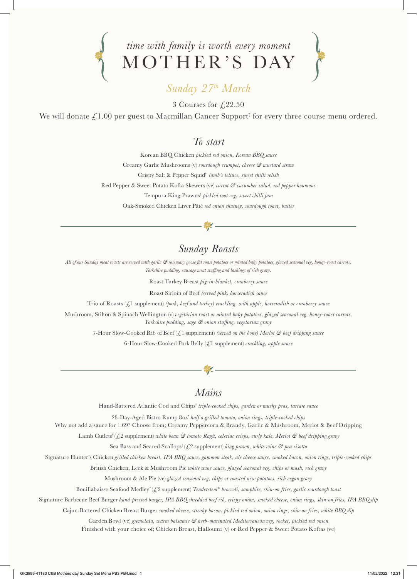



## *Sunday 27th March*

3 Courses for  $\sqrt{22.50}$ 

We will donate  $\pounds 1.00$  per guest to Macmillan Cancer Support‡ for every three course menu ordered.

#### *To start*

Korean BBQ Chicken *pickled red onion, Korean BBQ sauce* Creamy Garlic Mushrooms (v) *sourdough crumpet, cheese & mustard straw* Crispy Salt & Pepper Squid† *lamb's lettuce, sweet chilli relish* Red Pepper & Sweet Potato Kofta Skewers (ve) *carrot & cucumber salad, red pepper houmous* Tempura King Prawns† *pickled root veg, sweet chilli jam* Oak-Smoked Chicken Liver Pâté *red onion chutney, sourdough toast, butter*

### *Sunday Roasts*

*All of our Sunday meat roasts are served with garlic & rosemary goose fat roast potatoes or minted baby potatoes, glazed seasonal veg, honey-roast carrots, Yorkshire pudding, sausage meat stuffing and lashings of rich gravy.*

Roast Turkey Breast *pig-in-blanket, cranberry sauce* 

Roast Sirloin of Beef *(served pink) horseradish sauce*

Trio of Roasts (£1 supplement) *(pork, beef and turkey) crackling, with apple, horseradish or cranberry sauce*

Mushroom, Stilton & Spinach Wellington (v) *vegetarian roast or minted baby potatoes, glazed seasonal veg, honey-roast carrots, Yorkshire pudding, sage & onion stuffing, vegetarian gravy*

7-Hour Slow-Cooked Rib of Beef (£1 supplement) *(served on the bone) Merlot & beef dripping sauce*

6-Hour Slow-Cooked Pork Belly (£1 supplement) *crackling, apple sauce* 

## *Mains*

Hand-Battered Atlantic Cod and Chips† *triple-cooked chips, garden or mushy peas, tartare sauce* 

28-Day-Aged Bistro Rump 8oz\* *half a grilled tomato, onion rings, triple-cooked chips*

Why not add a sauce for 1.69? Choose from; Creamy Peppercorn & Brandy, Garlic & Mushroom, Merlot & Beef Dripping

Lamb Cutlets<sup>†</sup> (£2 supplement) *white bean* & tomato Ragù, celeriac crisps, curly kale, Merlot & beef dripping gravy

Sea Bass and Seared Scallops<sup>†</sup> ( $\mathcal{L}$ ) supplement) *king prawn, white wine*  $\mathcal G$  *pea risotto* 

Signature Hunter's Chicken *grilled chicken breast, IPA BBQ sauce, gammon steak, ale cheese sauce, smoked bacon, onion rings, triple-cooked chips*

British Chicken, Leek & Mushroom Pie *white wine sauce, glazed seasonal veg, chips or mash, rich gravy*

Mushroom & Ale Pie (ve) *glazed seasonal veg, chips or roasted new potatoes, rich vegan gravy*

Bouillabaisse Seafood Medley† (£2 supplement) *Tenderstem® broccoli, samphire, skin-on fries, garlic sourdough toast*

Signature Barbecue Beef Burger *hand-pressed burger, IPA BBQ shredded beef rib, crispy onion, smoked cheese, onion rings, skin-on fries, IPA BBQ dip*

Cajun-Battered Chicken Breast Burger *smoked cheese, streaky bacon, pickled red onion, onion rings, skin-on fries, white BBQ dip*

Garden Bowl (ve) *gremolata, warm balsamic & herb-marinated Mediterranean veg, rocket, pickled red onion*

Finished with your choice of; Chicken Breast, Halloumi (v) or Red Pepper & Sweet Potato Koftas (ve)